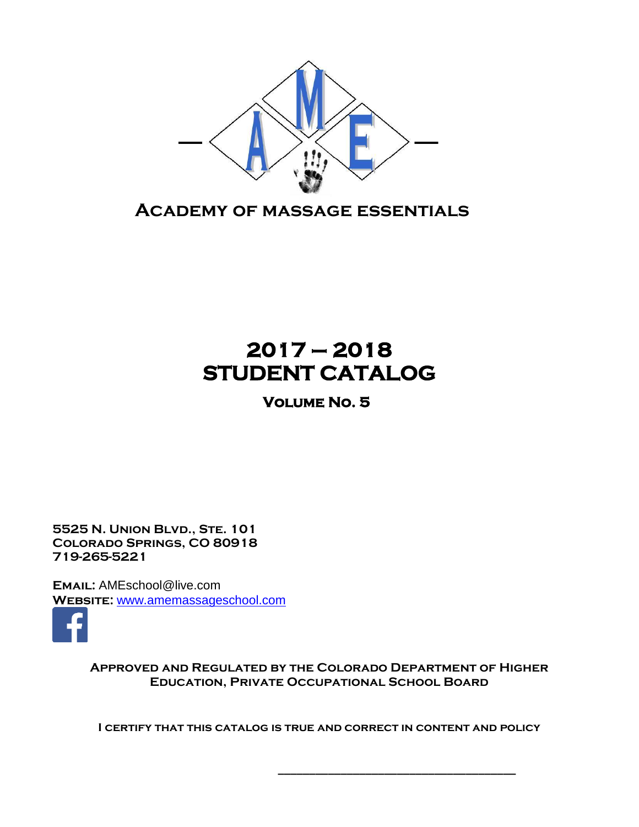

**Academy of massage essentials**

# **2017 – 2018 STUDENT CATALOG**

**Volume No. 5** 

**5525 N. Union Blvd., Ste. 101 Colorado Springs, CO 80918 719-265-5221**

**Email:** AMEschool@live.com **Website:** [www.amemassageschool.com](http://www.amemassageschool.com/)



**Approved and Regulated by the Colorado Department of Higher Education, Private Occupational School Board**

**I certify that this catalog is true and correct in content and policy**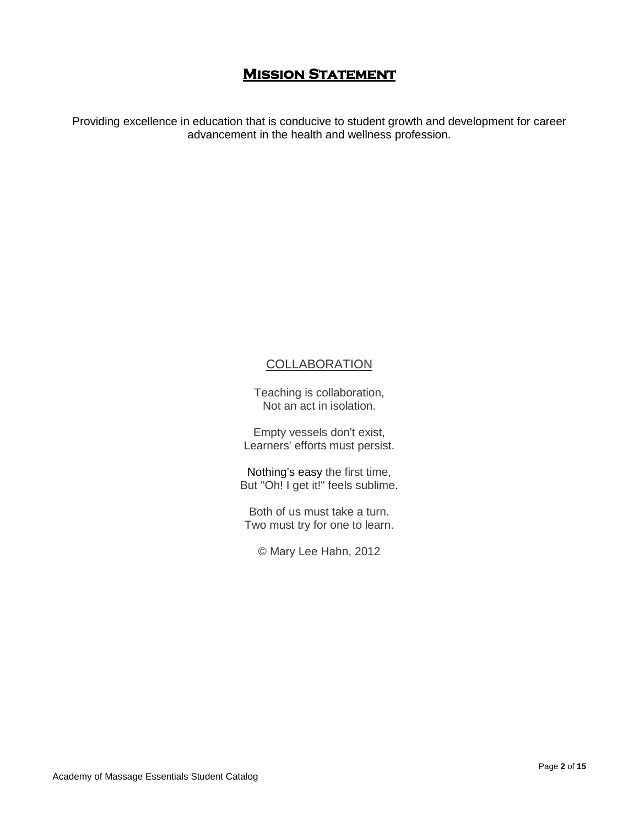## **Mission Statement**

Providing excellence in education that is conducive to student growth and development for career advancement in the health and wellness profession.

### **COLLABORATION**

Teaching is collaboration, Not an act in isolation.

Empty vessels don't exist, Learners' efforts must persist.

Nothing's [easy](http://readingyear.blogspot.com/2012/04/collaboration-teaching-poem-learning.html) the first time, But "Oh! I get it!" feels sublime.

Both of us must take a turn. Two must try for one to learn.

© Mary Lee Hahn, 2012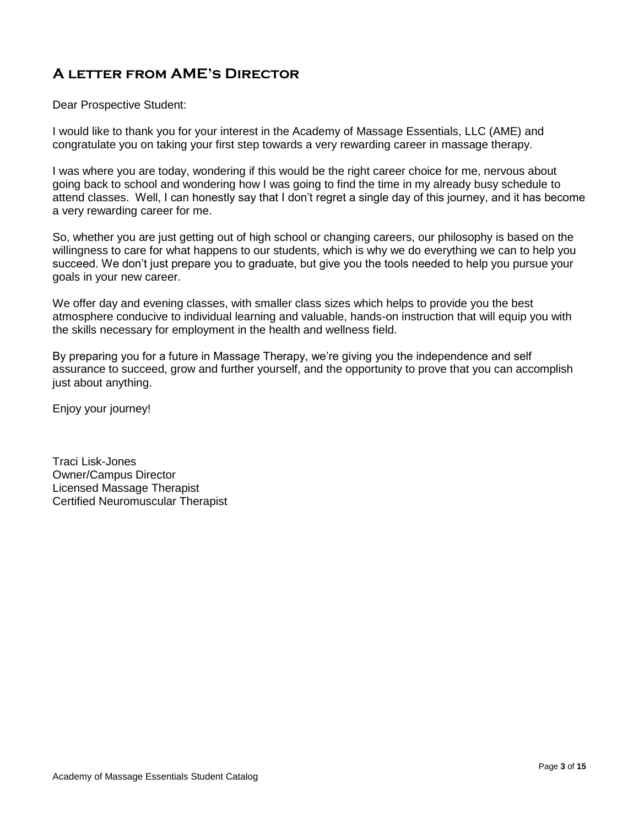## **A letter from AME's Director**

Dear Prospective Student:

I would like to thank you for your interest in the Academy of Massage Essentials, LLC (AME) and congratulate you on taking your first step towards a very rewarding career in massage therapy.

I was where you are today, wondering if this would be the right career choice for me, nervous about going back to school and wondering how I was going to find the time in my already busy schedule to attend classes. Well, I can honestly say that I don't regret a single day of this journey, and it has become a very rewarding career for me.

So, whether you are just getting out of high school or changing careers, our philosophy is based on the willingness to care for what happens to our students, which is why we do everything we can to help you succeed. We don't just prepare you to graduate, but give you the tools needed to help you pursue your goals in your new career.

We offer day and evening classes, with smaller class sizes which helps to provide you the best atmosphere conducive to individual learning and valuable, hands-on instruction that will equip you with the skills necessary for employment in the health and wellness field.

By preparing you for a future in Massage Therapy, we're giving you the independence and self assurance to succeed, grow and further yourself, and the opportunity to prove that you can accomplish just about anything.

Enjoy your journey!

Traci Lisk-Jones Owner/Campus Director Licensed Massage Therapist Certified Neuromuscular Therapist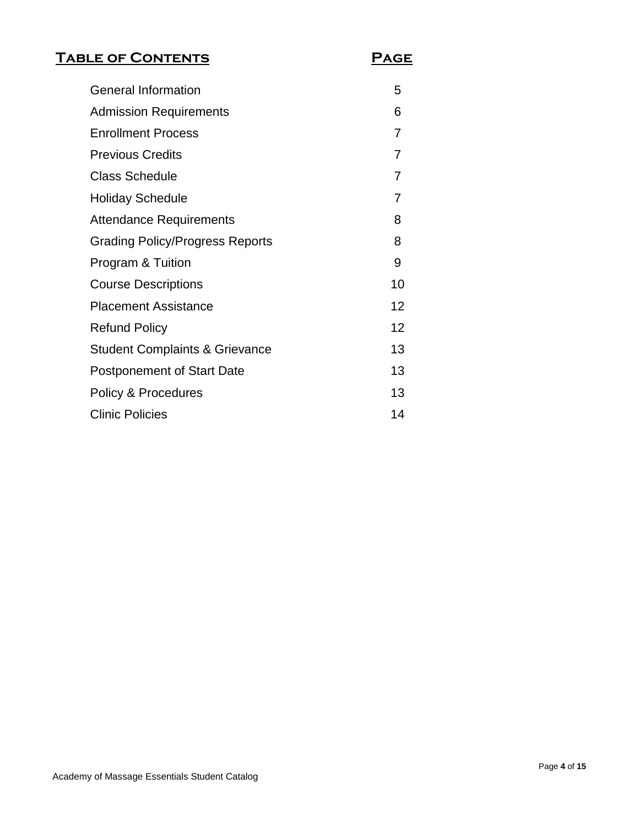## **Table of Contents Page**

| <b>General Information</b>                | 5  |
|-------------------------------------------|----|
| <b>Admission Requirements</b>             | 6  |
| <b>Enrollment Process</b>                 | 7  |
| <b>Previous Credits</b>                   | 7  |
| <b>Class Schedule</b>                     | 7  |
| <b>Holiday Schedule</b>                   | 7  |
| <b>Attendance Requirements</b>            | 8  |
| <b>Grading Policy/Progress Reports</b>    | 8  |
| Program & Tuition                         | 9  |
| <b>Course Descriptions</b>                | 10 |
| <b>Placement Assistance</b>               | 12 |
| <b>Refund Policy</b>                      | 12 |
| <b>Student Complaints &amp; Grievance</b> | 13 |
| <b>Postponement of Start Date</b>         | 13 |
| Policy & Procedures                       | 13 |
| <b>Clinic Policies</b>                    | 14 |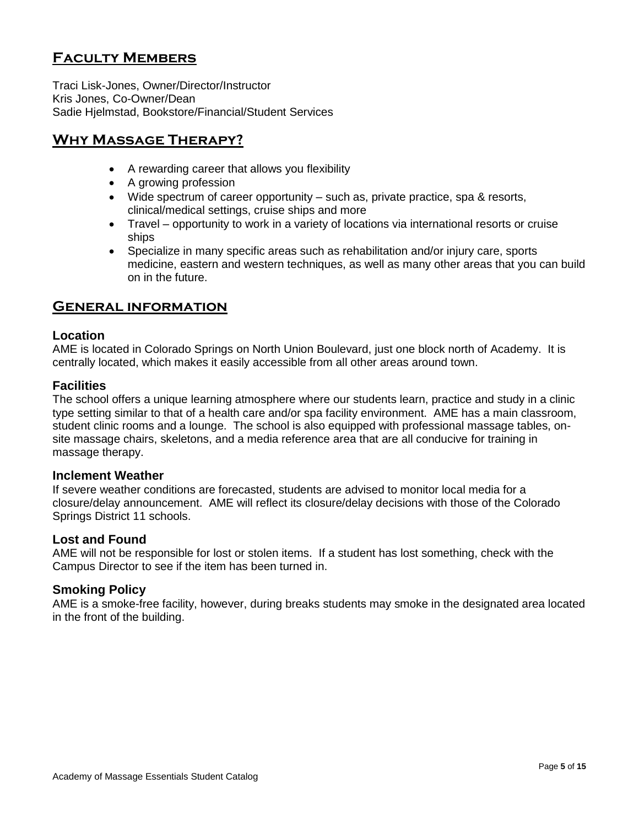## **Faculty Members**

Traci Lisk-Jones, Owner/Director/Instructor Kris Jones, Co-Owner/Dean Sadie Hjelmstad, Bookstore/Financial/Student Services

## **Why Massage Therapy?**

- A rewarding career that allows you flexibility
- A growing profession
- Wide spectrum of career opportunity such as, private practice, spa & resorts, clinical/medical settings, cruise ships and more
- Travel opportunity to work in a variety of locations via international resorts or cruise ships
- Specialize in many specific areas such as rehabilitation and/or injury care, sports medicine, eastern and western techniques, as well as many other areas that you can build on in the future.

### **General information**

#### **Location**

AME is located in Colorado Springs on North Union Boulevard, just one block north of Academy. It is centrally located, which makes it easily accessible from all other areas around town.

#### **Facilities**

The school offers a unique learning atmosphere where our students learn, practice and study in a clinic type setting similar to that of a health care and/or spa facility environment. AME has a main classroom, student clinic rooms and a lounge. The school is also equipped with professional massage tables, onsite massage chairs, skeletons, and a media reference area that are all conducive for training in massage therapy.

#### **Inclement Weather**

If severe weather conditions are forecasted, students are advised to monitor local media for a closure/delay announcement. AME will reflect its closure/delay decisions with those of the Colorado Springs District 11 schools.

#### **Lost and Found**

AME will not be responsible for lost or stolen items. If a student has lost something, check with the Campus Director to see if the item has been turned in.

#### **Smoking Policy**

AME is a smoke-free facility, however, during breaks students may smoke in the designated area located in the front of the building.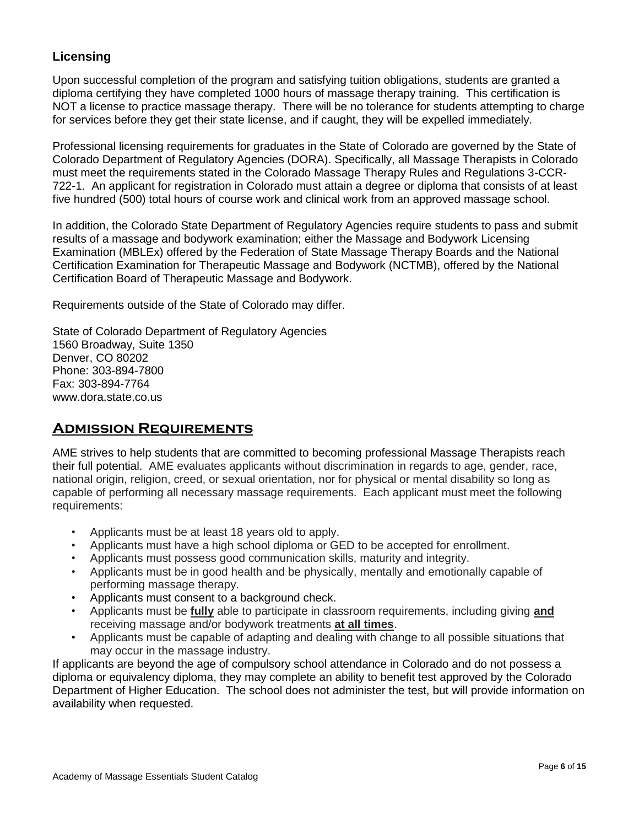## **Licensing**

Upon successful completion of the program and satisfying tuition obligations, students are granted a diploma certifying they have completed 1000 hours of massage therapy training. This certification is NOT a license to practice massage therapy. There will be no tolerance for students attempting to charge for services before they get their state license, and if caught, they will be expelled immediately.

Professional licensing requirements for graduates in the State of Colorado are governed by the State of Colorado Department of Regulatory Agencies (DORA). Specifically, all Massage Therapists in Colorado must meet the requirements stated in the Colorado Massage Therapy Rules and Regulations 3-CCR-722-1. An applicant for registration in Colorado must attain a degree or diploma that consists of at least five hundred (500) total hours of course work and clinical work from an approved massage school.

In addition, the Colorado State Department of Regulatory Agencies require students to pass and submit results of a massage and bodywork examination; either the Massage and Bodywork Licensing Examination (MBLEx) offered by the Federation of State Massage Therapy Boards and the National Certification Examination for Therapeutic Massage and Bodywork (NCTMB), offered by the National Certification Board of Therapeutic Massage and Bodywork.

Requirements outside of the State of Colorado may differ.

State of Colorado Department of Regulatory Agencies 1560 Broadway, Suite 1350 Denver, CO 80202 Phone: 303-894-7800 Fax: 303-894-7764 www.dora.state.co.us

## **Admission Requirements**

AME strives to help students that are committed to becoming professional Massage Therapists reach their full potential. AME evaluates applicants without discrimination in regards to age, gender, race, national origin, religion, creed, or sexual orientation, nor for physical or mental disability so long as capable of performing all necessary massage requirements. Each applicant must meet the following requirements:

- Applicants must be at least 18 years old to apply.
- Applicants must have a high school diploma or GED to be accepted for enrollment.
- Applicants must possess good communication skills, maturity and integrity.
- Applicants must be in good health and be physically, mentally and emotionally capable of performing massage therapy.
- Applicants must consent to a background check.
- Applicants must be **fully** able to participate in classroom requirements, including giving **and** receiving massage and/or bodywork treatments **at all times**.
- Applicants must be capable of adapting and dealing with change to all possible situations that may occur in the massage industry.

If applicants are beyond the age of compulsory school attendance in Colorado and do not possess a diploma or equivalency diploma, they may complete an ability to benefit test approved by the Colorado Department of Higher Education. The school does not administer the test, but will provide information on availability when requested.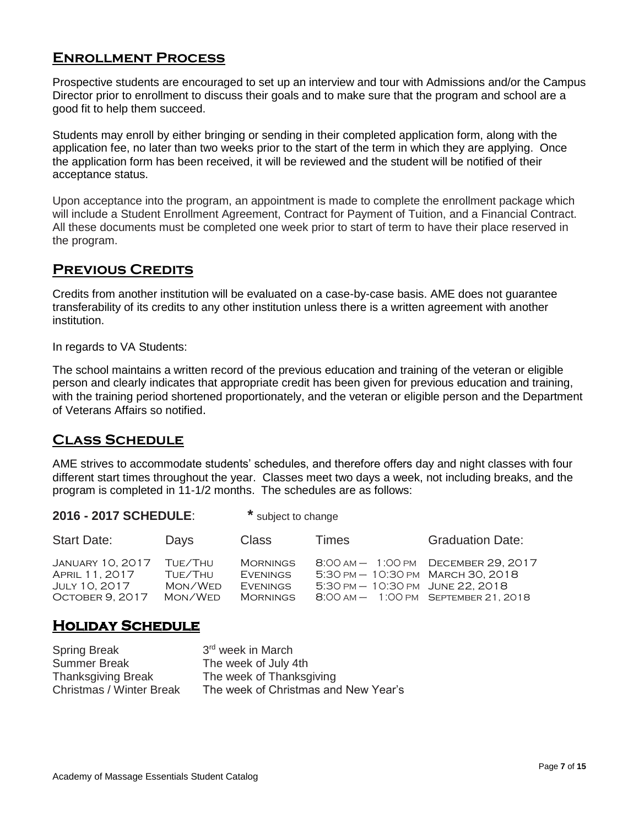## **Enrollment Process**

Prospective students are encouraged to set up an interview and tour with Admissions and/or the Campus Director prior to enrollment to discuss their goals and to make sure that the program and school are a good fit to help them succeed.

Students may enroll by either bringing or sending in their completed application form, along with the application fee, no later than two weeks prior to the start of the term in which they are applying. Once the application form has been received, it will be reviewed and the student will be notified of their acceptance status.

Upon acceptance into the program, an appointment is made to complete the enrollment package which will include a Student Enrollment Agreement, Contract for Payment of Tuition, and a Financial Contract. All these documents must be completed one week prior to start of term to have their place reserved in the program.

## **Previous Credits**

Credits from another institution will be evaluated on a case-by-case basis. AME does not guarantee transferability of its credits to any other institution unless there is a written agreement with another institution.

In regards to VA Students:

The school maintains a written record of the previous education and training of the veteran or eligible person and clearly indicates that appropriate credit has been given for previous education and training, with the training period shortened proportionately, and the veteran or eligible person and the Department of Veterans Affairs so notified.

### **Class Schedule**

AME strives to accommodate students' schedules, and therefore offers day and night classes with four different start times throughout the year. Classes meet two days a week, not including breaks, and the program is completed in 11-1/2 months. The schedules are as follows:

#### **2016 - 2017 SCHEDULE**: **\*** subject to change

| <b>Start Date:</b>                                                     | Days                                     | <b>Class</b>                                                             | Times                                                                                                                                             | <b>Graduation Date:</b>             |
|------------------------------------------------------------------------|------------------------------------------|--------------------------------------------------------------------------|---------------------------------------------------------------------------------------------------------------------------------------------------|-------------------------------------|
| January 10, 2017<br>APRIL 11, 2017<br>July 10, 2017<br>OCTOBER 9, 2017 | TUE/THU<br>TUE/THU<br>Mon/Wed<br>Mon/Wed | <b>MORNINGS</b><br><b>EVENINGS</b><br><b>EVENINGS</b><br><b>MORNINGS</b> | $5:30 \text{ PM} - 10:30 \text{ PM}$ March 30, 2018<br>$5:30 \text{ PM} - 10:30 \text{ PM}$ JUNE 22, 2018<br>8:00 AM - 1:00 PM SEPTEMBER 21, 2018 | 8:00 AM - 1:00 PM DECEMBER 29, 2017 |

## **Holiday Schedule**

| <b>Spring Break</b>             | 3 <sup>rd</sup> week in March        |
|---------------------------------|--------------------------------------|
| <b>Summer Break</b>             | The week of July 4th                 |
| <b>Thanksgiving Break</b>       | The week of Thanksgiving             |
| <b>Christmas / Winter Break</b> | The week of Christmas and New Year's |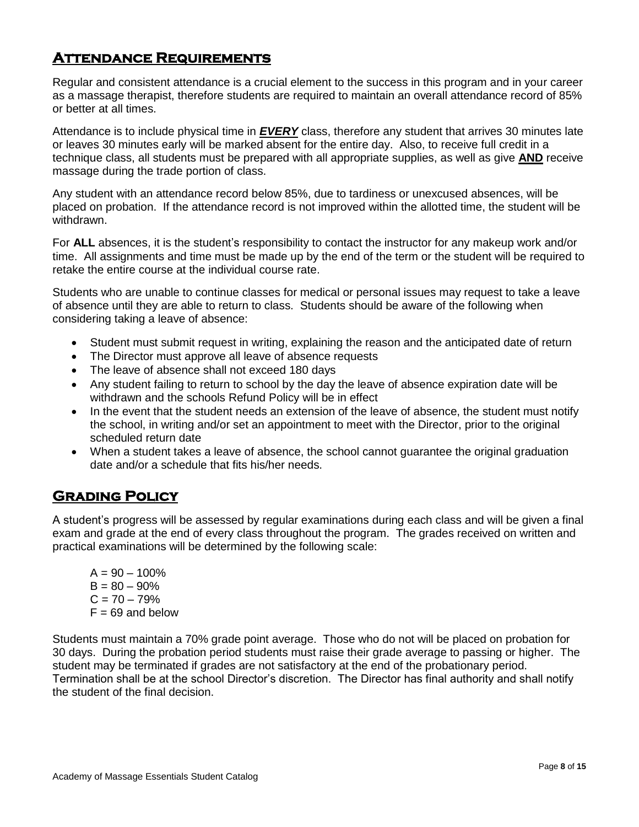## **Attendance Requirements**

Regular and consistent attendance is a crucial element to the success in this program and in your career as a massage therapist, therefore students are required to maintain an overall attendance record of 85% or better at all times.

Attendance is to include physical time in *EVERY* class, therefore any student that arrives 30 minutes late or leaves 30 minutes early will be marked absent for the entire day. Also, to receive full credit in a technique class, all students must be prepared with all appropriate supplies, as well as give **AND** receive massage during the trade portion of class.

Any student with an attendance record below 85%, due to tardiness or unexcused absences, will be placed on probation. If the attendance record is not improved within the allotted time, the student will be withdrawn.

For **ALL** absences, it is the student's responsibility to contact the instructor for any makeup work and/or time. All assignments and time must be made up by the end of the term or the student will be required to retake the entire course at the individual course rate.

Students who are unable to continue classes for medical or personal issues may request to take a leave of absence until they are able to return to class. Students should be aware of the following when considering taking a leave of absence:

- Student must submit request in writing, explaining the reason and the anticipated date of return
- The Director must approve all leave of absence requests
- The leave of absence shall not exceed 180 days
- Any student failing to return to school by the day the leave of absence expiration date will be withdrawn and the schools Refund Policy will be in effect
- In the event that the student needs an extension of the leave of absence, the student must notify the school, in writing and/or set an appointment to meet with the Director, prior to the original scheduled return date
- When a student takes a leave of absence, the school cannot guarantee the original graduation date and/or a schedule that fits his/her needs.

## **Grading Policy**

A student's progress will be assessed by regular examinations during each class and will be given a final exam and grade at the end of every class throughout the program. The grades received on written and practical examinations will be determined by the following scale:

 $A = 90 - 100\%$  $B = 80 - 90%$  $C = 70 - 79%$  $F = 69$  and below

Students must maintain a 70% grade point average. Those who do not will be placed on probation for 30 days. During the probation period students must raise their grade average to passing or higher. The student may be terminated if grades are not satisfactory at the end of the probationary period. Termination shall be at the school Director's discretion. The Director has final authority and shall notify the student of the final decision.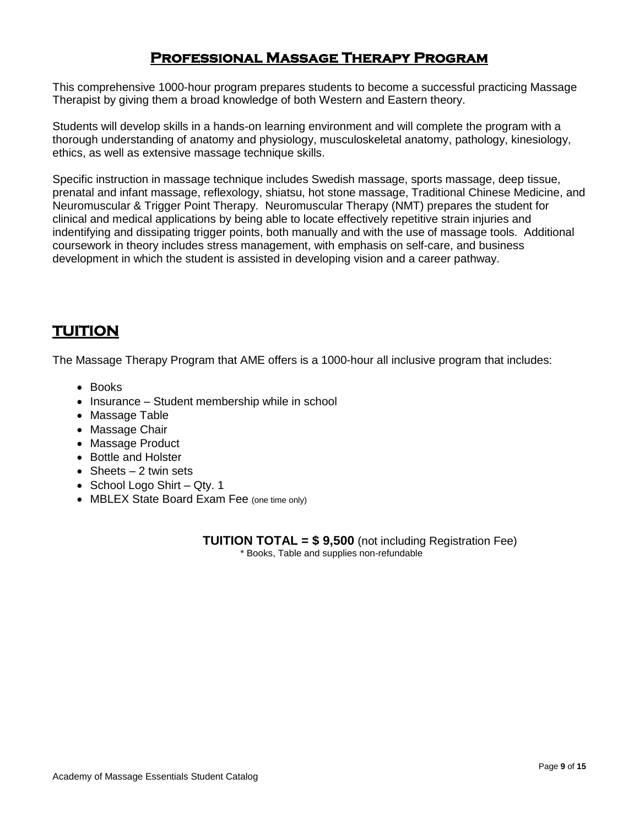## **Professional Massage Therapy Program**

This comprehensive 1000-hour program prepares students to become a successful practicing Massage Therapist by giving them a broad knowledge of both Western and Eastern theory.

Students will develop skills in a hands-on learning environment and will complete the program with a thorough understanding of anatomy and physiology, musculoskeletal anatomy, pathology, kinesiology, ethics, as well as extensive massage technique skills.

Specific instruction in massage technique includes Swedish massage, sports massage, deep tissue, prenatal and infant massage, reflexology, shiatsu, hot stone massage, Traditional Chinese Medicine, and Neuromuscular & Trigger Point Therapy. Neuromuscular Therapy (NMT) prepares the student for clinical and medical applications by being able to locate effectively repetitive strain injuries and indentifying and dissipating trigger points, both manually and with the use of massage tools. Additional coursework in theory includes stress management, with emphasis on self-care, and business development in which the student is assisted in developing vision and a career pathway.

## **TUITION**

The Massage Therapy Program that AME offers is a 1000-hour all inclusive program that includes:

- Books
- Insurance Student membership while in school
- Massage Table
- Massage Chair
- Massage Product
- Bottle and Holster
- Sheets  $-2$  twin sets
- School Logo Shirt Qty. 1
- MBLEX State Board Exam Fee (one time only)

**TUITION TOTAL = \$ 9,500** (not including Registration Fee) \* Books, Table and supplies non-refundable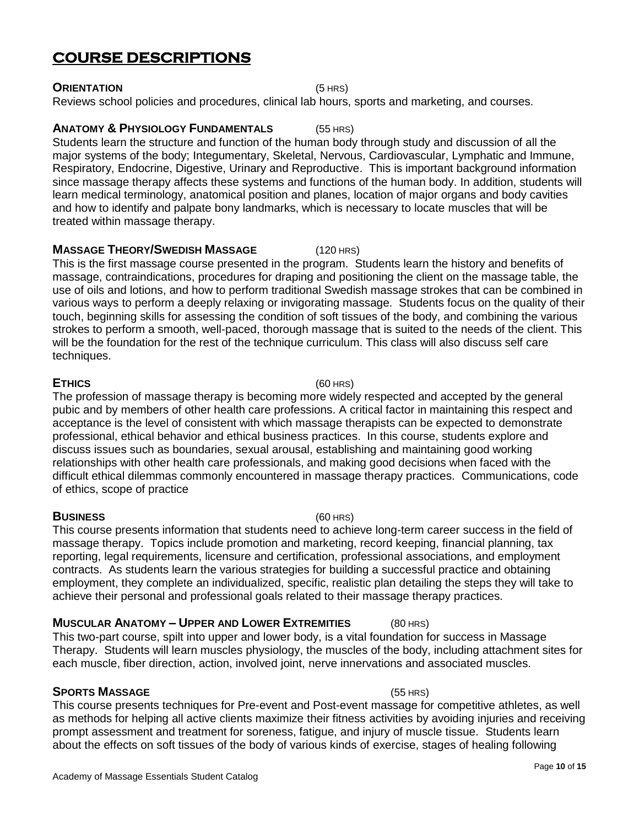## **COURSE DESCRIPTIONS**

#### **ORIENTATION** (5 HRS)

Reviews school policies and procedures, clinical lab hours, sports and marketing, and courses.

#### **ANATOMY & PHYSIOLOGY FUNDAMENTALS** (55 HRS)

Students learn the structure and function of the human body through study and discussion of all the major systems of the body; Integumentary, Skeletal, Nervous, Cardiovascular, Lymphatic and Immune, Respiratory, Endocrine, Digestive, Urinary and Reproductive. This is important background information since massage therapy affects these systems and functions of the human body. In addition, students will learn medical terminology, anatomical position and planes, location of major organs and body cavities and how to identify and palpate bony landmarks, which is necessary to locate muscles that will be treated within massage therapy.

## **MASSAGE THEORY/SWEDISH MASSAGE** (120 HRS)

This is the first massage course presented in the program. Students learn the history and benefits of massage, contraindications, procedures for draping and positioning the client on the massage table, the use of oils and lotions, and how to perform traditional Swedish massage strokes that can be combined in various ways to perform a deeply relaxing or invigorating massage. Students focus on the quality of their touch, beginning skills for assessing the condition of soft tissues of the body, and combining the various strokes to perform a smooth, well-paced, thorough massage that is suited to the needs of the client. This will be the foundation for the rest of the technique curriculum. This class will also discuss self care techniques.

#### **ETHICS** (60 HRS)

The profession of massage therapy is becoming more widely respected and accepted by the general pubic and by members of other health care professions. A critical factor in maintaining this respect and acceptance is the level of consistent with which massage therapists can be expected to demonstrate professional, ethical behavior and ethical business practices. In this course, students explore and discuss issues such as boundaries, sexual arousal, establishing and maintaining good working relationships with other health care professionals, and making good decisions when faced with the difficult ethical dilemmas commonly encountered in massage therapy practices. Communications, code of ethics, scope of practice

#### **BUSINESS** (60 HRS)

This course presents information that students need to achieve long-term career success in the field of massage therapy. Topics include promotion and marketing, record keeping, financial planning, tax reporting, legal requirements, licensure and certification, professional associations, and employment contracts. As students learn the various strategies for building a successful practice and obtaining employment, they complete an individualized, specific, realistic plan detailing the steps they will take to achieve their personal and professional goals related to their massage therapy practices.

#### **MUSCULAR ANATOMY – UPPER AND LOWER EXTREMITIES** (80 HRS)

This two-part course, spilt into upper and lower body, is a vital foundation for success in Massage Therapy. Students will learn muscles physiology, the muscles of the body, including attachment sites for each muscle, fiber direction, action, involved joint, nerve innervations and associated muscles.

#### **SPORTS MASSAGE** (55 HRS)

This course presents techniques for Pre-event and Post-event massage for competitive athletes, as well as methods for helping all active clients maximize their fitness activities by avoiding injuries and receiving prompt assessment and treatment for soreness, fatigue, and injury of muscle tissue. Students learn about the effects on soft tissues of the body of various kinds of exercise, stages of healing following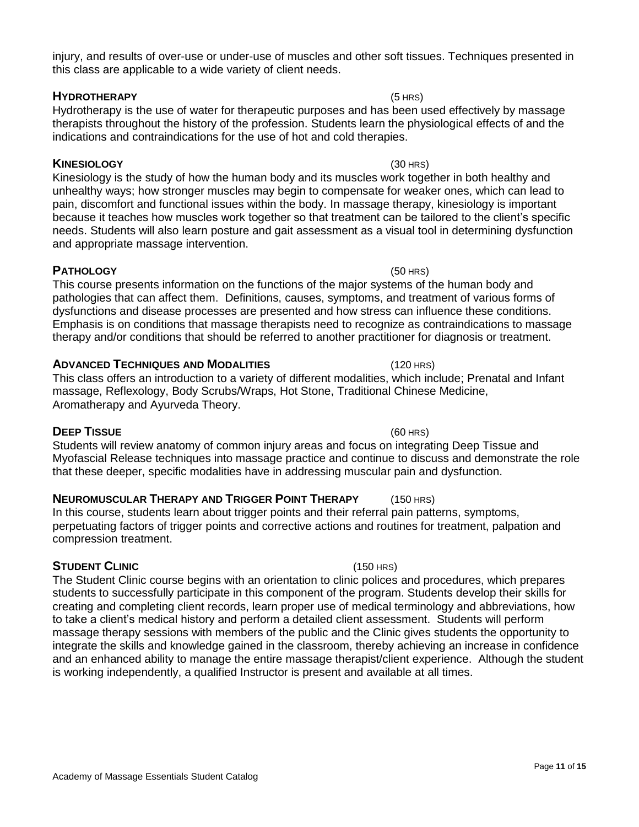injury, and results of over-use or under-use of muscles and other soft tissues. Techniques presented in this class are applicable to a wide variety of client needs.

#### **HYDROTHERAPY** (5 HRS)

Hydrotherapy is the use of water for therapeutic purposes and has been used effectively by massage therapists throughout the history of the profession. Students learn the physiological effects of and the indications and contraindications for the use of hot and cold therapies.

#### **KINESIOLOGY** (30 HRS)

Kinesiology is the study of how the human body and its muscles work together in both healthy and unhealthy ways; how stronger muscles may begin to compensate for weaker ones, which can lead to pain, discomfort and functional issues within the body. In massage therapy, kinesiology is important because it teaches how muscles work together so that treatment can be tailored to the client's specific needs. Students will also learn posture and gait assessment as a visual tool in determining dysfunction and appropriate massage intervention.

### **PATHOLOGY** (50 HRS)

This course presents information on the functions of the major systems of the human body and pathologies that can affect them. Definitions, causes, symptoms, and treatment of various forms of dysfunctions and disease processes are presented and how stress can influence these conditions. Emphasis is on conditions that massage therapists need to recognize as contraindications to massage therapy and/or conditions that should be referred to another practitioner for diagnosis or treatment.

#### **ADVANCED TECHNIQUES AND MODALITIES** (120 HRS)

This class offers an introduction to a variety of different modalities, which include; Prenatal and Infant massage, Reflexology, Body Scrubs/Wraps, Hot Stone, Traditional Chinese Medicine, Aromatherapy and Ayurveda Theory.

#### **DEEP TISSUE** (60 HRS)

Students will review anatomy of common injury areas and focus on integrating Deep Tissue and Myofascial Release techniques into massage practice and continue to discuss and demonstrate the role that these deeper, specific modalities have in addressing muscular pain and dysfunction.

### **NEUROMUSCULAR THERAPY AND TRIGGER POINT THERAPY** (150 HRS)

In this course, students learn about trigger points and their referral pain patterns, symptoms, perpetuating factors of trigger points and corrective actions and routines for treatment, palpation and compression treatment.

### **STUDENT CLINIC** (150 HRS)

The Student Clinic course begins with an orientation to clinic polices and procedures, which prepares students to successfully participate in this component of the program. Students develop their skills for creating and completing client records, learn proper use of medical terminology and abbreviations, how to take a client's medical history and perform a detailed client assessment. Students will perform massage therapy sessions with members of the public and the Clinic gives students the opportunity to integrate the skills and knowledge gained in the classroom, thereby achieving an increase in confidence and an enhanced ability to manage the entire massage therapist/client experience. Although the student is working independently, a qualified Instructor is present and available at all times.

#### Page **11** of **15**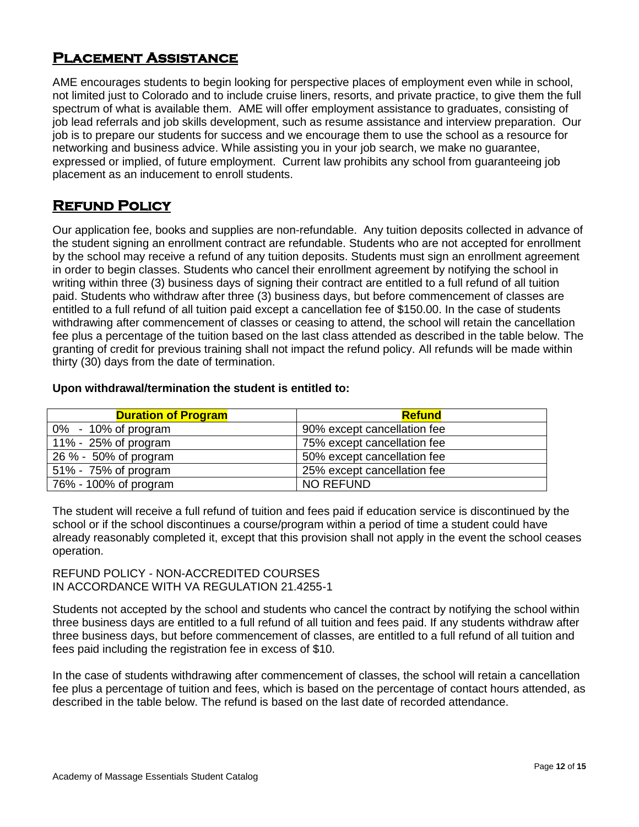## **Placement Assistance**

AME encourages students to begin looking for perspective places of employment even while in school, not limited just to Colorado and to include cruise liners, resorts, and private practice, to give them the full spectrum of what is available them. AME will offer employment assistance to graduates, consisting of job lead referrals and job skills development, such as resume assistance and interview preparation. Our job is to prepare our students for success and we encourage them to use the school as a resource for networking and business advice. While assisting you in your job search, we make no guarantee, expressed or implied, of future employment. Current law prohibits any school from guaranteeing job placement as an inducement to enroll students. 

## **Refund Policy**

Our application fee, books and supplies are non-refundable. Any tuition deposits collected in advance of the student signing an enrollment contract are refundable. Students who are not accepted for enrollment by the school may receive a refund of any tuition deposits. Students must sign an enrollment agreement in order to begin classes. Students who cancel their enrollment agreement by notifying the school in writing within three (3) business days of signing their contract are entitled to a full refund of all tuition paid. Students who withdraw after three (3) business days, but before commencement of classes are entitled to a full refund of all tuition paid except a cancellation fee of \$150.00. In the case of students withdrawing after commencement of classes or ceasing to attend, the school will retain the cancellation fee plus a percentage of the tuition based on the last class attended as described in the table below. The granting of credit for previous training shall not impact the refund policy. All refunds will be made within thirty (30) days from the date of termination.

#### **Upon withdrawal/termination the student is entitled to:**

| <b>Duration of Program</b> | <b>Refund</b>               |
|----------------------------|-----------------------------|
| $0\%$ - 10% of program     | 90% except cancellation fee |
| 11% - 25% of program       | 75% except cancellation fee |
| 26 % - 50% of program      | 50% except cancellation fee |
| 51% - 75% of program       | 25% except cancellation fee |
| 76% - 100% of program      | <b>NO REFUND</b>            |

The student will receive a full refund of tuition and fees paid if education service is discontinued by the school or if the school discontinues a course/program within a period of time a student could have already reasonably completed it, except that this provision shall not apply in the event the school ceases operation.

REFUND POLICY - NON-ACCREDITED COURSES IN ACCORDANCE WITH VA REGULATION 21.4255-1

Students not accepted by the school and students who cancel the contract by notifying the school within three business days are entitled to a full refund of all tuition and fees paid. If any students withdraw after three business days, but before commencement of classes, are entitled to a full refund of all tuition and fees paid including the registration fee in excess of \$10.

In the case of students withdrawing after commencement of classes, the school will retain a cancellation fee plus a percentage of tuition and fees, which is based on the percentage of contact hours attended, as described in the table below. The refund is based on the last date of recorded attendance.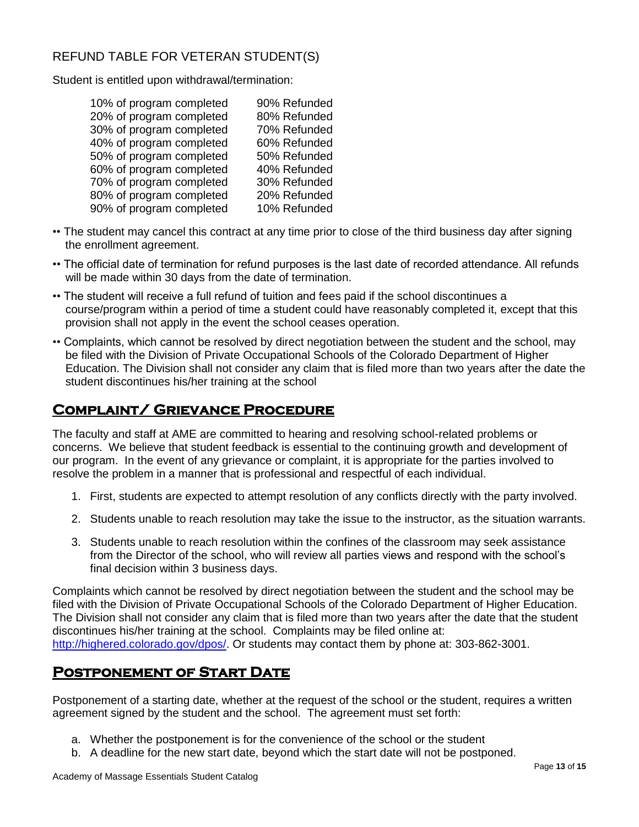## REFUND TABLE FOR VETERAN STUDENT(S)

Student is entitled upon withdrawal/termination:

| 10% of program completed | 90% Refunded |
|--------------------------|--------------|
| 20% of program completed | 80% Refunded |
| 30% of program completed | 70% Refunded |
| 40% of program completed | 60% Refunded |
| 50% of program completed | 50% Refunded |
| 60% of program completed | 40% Refunded |
| 70% of program completed | 30% Refunded |
| 80% of program completed | 20% Refunded |
| 90% of program completed | 10% Refunded |

- •• The student may cancel this contract at any time prior to close of the third business day after signing the enrollment agreement.
- •• The official date of termination for refund purposes is the last date of recorded attendance. All refunds will be made within 30 days from the date of termination.
- •• The student will receive a full refund of tuition and fees paid if the school discontinues a course/program within a period of time a student could have reasonably completed it, except that this provision shall not apply in the event the school ceases operation.
- •• Complaints, which cannot be resolved by direct negotiation between the student and the school, may be filed with the Division of Private Occupational Schools of the Colorado Department of Higher Education. The Division shall not consider any claim that is filed more than two years after the date the student discontinues his/her training at the school

## **Complaint/ Grievance Procedure**

The faculty and staff at AME are committed to hearing and resolving school-related problems or concerns. We believe that student feedback is essential to the continuing growth and development of our program. In the event of any grievance or complaint, it is appropriate for the parties involved to resolve the problem in a manner that is professional and respectful of each individual.

- 1. First, students are expected to attempt resolution of any conflicts directly with the party involved.
- 2. Students unable to reach resolution may take the issue to the instructor, as the situation warrants.
- 3. Students unable to reach resolution within the confines of the classroom may seek assistance from the Director of the school, who will review all parties views and respond with the school's final decision within 3 business days.

Complaints which cannot be resolved by direct negotiation between the student and the school may be filed with the Division of Private Occupational Schools of the Colorado Department of Higher Education. The Division shall not consider any claim that is filed more than two years after the date that the student discontinues his/her training at the school. Complaints may be filed online at: [http://highered.colorado.gov/dpos/.](http://highered.colorado.gov/dpos/) Or students may contact them by phone at: 303-862-3001.

## **Postponement of Start Date**

Postponement of a starting date, whether at the request of the school or the student, requires a written agreement signed by the student and the school. The agreement must set forth:

- a. Whether the postponement is for the convenience of the school or the student
- b. A deadline for the new start date, beyond which the start date will not be postponed.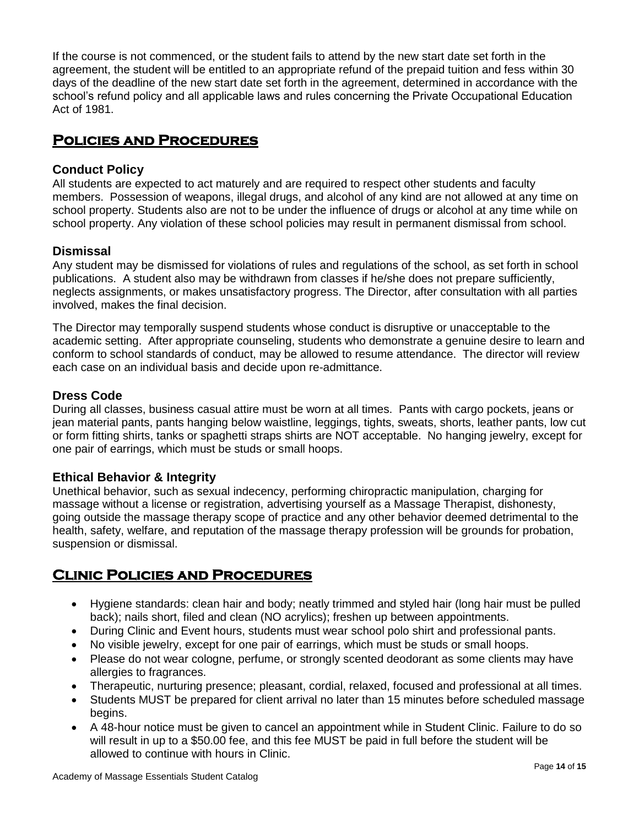If the course is not commenced, or the student fails to attend by the new start date set forth in the agreement, the student will be entitled to an appropriate refund of the prepaid tuition and fess within 30 days of the deadline of the new start date set forth in the agreement, determined in accordance with the school's refund policy and all applicable laws and rules concerning the Private Occupational Education Act of 1981.

## **Policies and Procedures**

#### **Conduct Policy**

All students are expected to act maturely and are required to respect other students and faculty members. Possession of weapons, illegal drugs, and alcohol of any kind are not allowed at any time on school property. Students also are not to be under the influence of drugs or alcohol at any time while on school property. Any violation of these school policies may result in permanent dismissal from school.

#### **Dismissal**

Any student may be dismissed for violations of rules and regulations of the school, as set forth in school publications. A student also may be withdrawn from classes if he/she does not prepare sufficiently, neglects assignments, or makes unsatisfactory progress. The Director, after consultation with all parties involved, makes the final decision.

The Director may temporally suspend students whose conduct is disruptive or unacceptable to the academic setting. After appropriate counseling, students who demonstrate a genuine desire to learn and conform to school standards of conduct, may be allowed to resume attendance. The director will review each case on an individual basis and decide upon re-admittance.

#### **Dress Code**

During all classes, business casual attire must be worn at all times. Pants with cargo pockets, jeans or jean material pants, pants hanging below waistline, leggings, tights, sweats, shorts, leather pants, low cut or form fitting shirts, tanks or spaghetti straps shirts are NOT acceptable. No hanging jewelry, except for one pair of earrings, which must be studs or small hoops.

#### **Ethical Behavior & Integrity**

Unethical behavior, such as sexual indecency, performing chiropractic manipulation, charging for massage without a license or registration, advertising yourself as a Massage Therapist, dishonesty, going outside the massage therapy scope of practice and any other behavior deemed detrimental to the health, safety, welfare, and reputation of the massage therapy profession will be grounds for probation, suspension or dismissal.

## **Clinic Policies and Procedures**

- Hygiene standards: clean hair and body; neatly trimmed and styled hair (long hair must be pulled back); nails short, filed and clean (NO acrylics); freshen up between appointments.
- During Clinic and Event hours, students must wear school polo shirt and professional pants.
- No visible jewelry, except for one pair of earrings, which must be studs or small hoops.
- Please do not wear cologne, perfume, or strongly scented deodorant as some clients may have allergies to fragrances.
- Therapeutic, nurturing presence; pleasant, cordial, relaxed, focused and professional at all times.
- Students MUST be prepared for client arrival no later than 15 minutes before scheduled massage begins.
- A 48-hour notice must be given to cancel an appointment while in Student Clinic. Failure to do so will result in up to a \$50.00 fee, and this fee MUST be paid in full before the student will be allowed to continue with hours in Clinic.